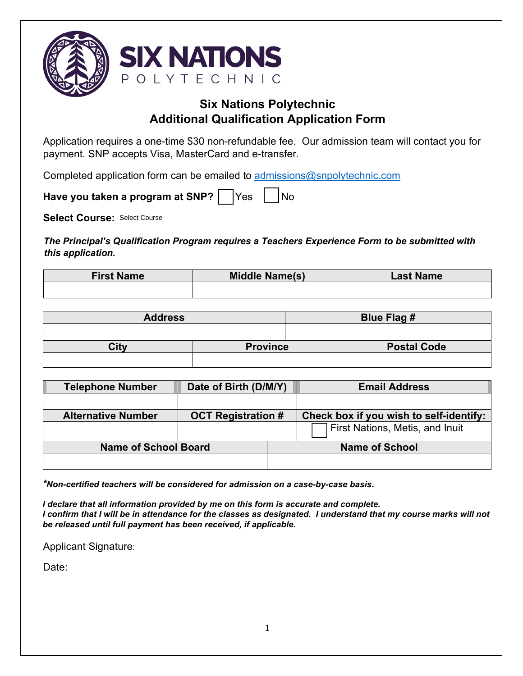

# **Six Nations Polytechnic Additional Qualification Application Form**

Application requires a one-time \$30 non-refundable fee. Our admission team will contact you for payment. SNP accepts Visa, MasterCard and e-transfer.

Completed application form can be emailed to [admissions@snpolytechnic.com](mailto:admissions@snpolytechnic.com)

Have you taken a program at SNP? Yes | No

Select Course: Select Course

*The Principal's Qualification Program requires a Teachers Experience Form to be submitted with this application.*

| <b>First Name</b> | <b>Middle Name(s)</b> | <b>Last Name</b> |  |
|-------------------|-----------------------|------------------|--|
|                   |                       |                  |  |

| <b>Address</b> |                 | Blue Flag # |                    |
|----------------|-----------------|-------------|--------------------|
|                |                 |             |                    |
| Citv           | <b>Province</b> |             | <b>Postal Code</b> |
|                |                 |             |                    |

| <b>Telephone Number</b>     | Date of Birth (D/M/Y)     |  | <b>Email Address</b>                    |  |
|-----------------------------|---------------------------|--|-----------------------------------------|--|
|                             |                           |  |                                         |  |
| <b>Alternative Number</b>   | <b>OCT Registration #</b> |  | Check box if you wish to self-identify: |  |
|                             |                           |  | First Nations, Metis, and Inuit         |  |
| <b>Name of School Board</b> |                           |  | <b>Name of School</b>                   |  |
|                             |                           |  |                                         |  |

*\*Non-certified teachers will be considered for admission on a case-by-case basis.*

*I declare that all information provided by me on this form is accurate and complete. I confirm that I will be in attendance for the classes as designated. I understand that my course marks will not be released until full payment has been received, if applicable.* 

Applicant Signature:

Date: